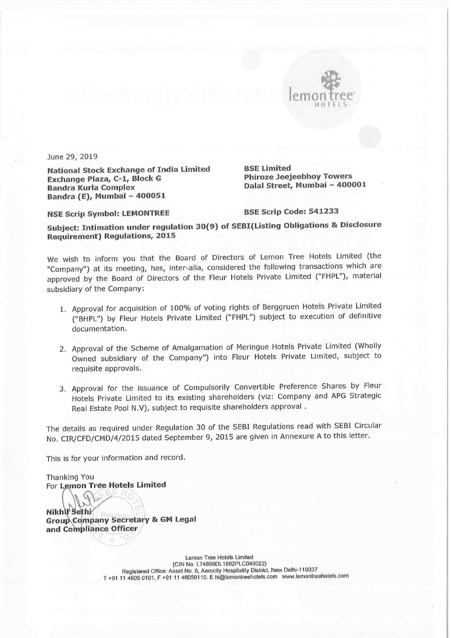

June 29, 2019

National Stock Exchange of India Limited BSE Limited<br>Exchange Plaza, C-1, Block G Phiroze Jeejeebhoy Towers Exchange Plaza, C-1, Block G<br>Bandra Kurla Complex Bandra Kurla Complex Dalal Street, Mumbai — 400001 Bandra (E), Mumbai — 400051

NSE Scrip Symbol: LEMONTREE BSE Scrip Code: <sup>541233</sup>

Subject: Intimation under regulation 30(9) of SEBI(Listing Obligations & Disclosure Requirement) Regulations, 2015

We wish to inform you that the Board of Directors of Lemon Tree Hotels Limited (the "Company") at its meeting, has, inter-alia, considered the following transactions which are approved by the Board of Directors of the Fleur Hotels Private Limited ("FHPL"), material subsidiary of the Company:

- 1. Approval for acquisition of 100% of voting rights of Berggruen Hotels Private Limited ("BHPL") by Fleur Hotels Private Limited ("FHPL") subject to execution of definitive documentation.
- 2. Approval of the Scheme of Amalgamation of Meringue Hotels Private Limited (Wholly Owned subsidiary of the Company") into Fleur Hotels Private Limited, subject to requisite approvals.
- 3. Approval for the issuance of Compulsorily Convertible Preference Shares by Fleur Hotels Private Limited to its existing shareholders (viz: Company and APG Strategic Real Estate Pool N.V), subject to requisite shareholders approval .

The details as required under Regulation <sup>30</sup> of the SEBI Regulations read with SEBI Circular No. CIR/CFD/CMD/4/2015 dated September 9, <sup>2015</sup> are given in Annexure <sup>A</sup> to this letter.

This is for your information and record.

Thanking You For Lemon Tree Hotels Limited

Nikhi Sethi<br>Group Company Secretary & GM Legal and Compliance Officer

> Lemon Tree Hotels Limited (ClN No. L74899DL1992PLC049022) Registered Office: Asset No. 6. Aemcity Hospitaliiy District, New Delhi—110037 T +91 <sup>11</sup> 4605 0101, <sup>F</sup> +91 <sup>11</sup> 46050110. <sup>E</sup> hi@|ernonlreehotels.com www.|emontreehotels.com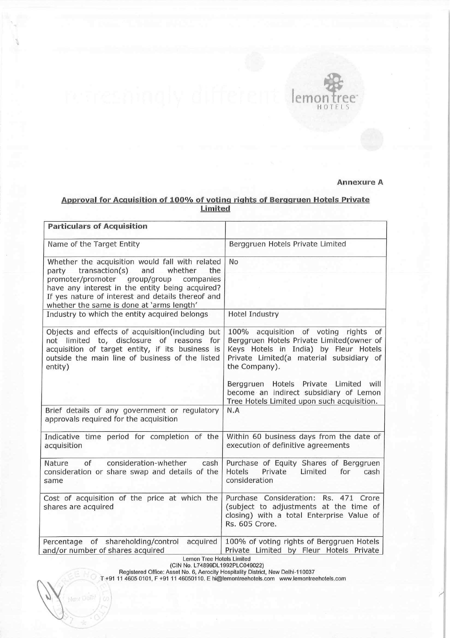

## Annexure A

## Approval for Acguisition of 100% of voting rights of Berggruen Hotels Private Limited

| <b>Particulars of Acquisition</b>                                                                                                                                                                                  |                                                                                                                                                                                            |
|--------------------------------------------------------------------------------------------------------------------------------------------------------------------------------------------------------------------|--------------------------------------------------------------------------------------------------------------------------------------------------------------------------------------------|
| Name of the Target Entity                                                                                                                                                                                          | Berggruen Hotels Private Limited                                                                                                                                                           |
| Whether the acquisition would fall with related<br>party transaction(s)<br>and<br>whether<br>the<br>promoter/promoter group/group<br>companies                                                                     | <b>No</b>                                                                                                                                                                                  |
| have any interest in the entity being acquired?<br>If yes nature of interest and details thereof and<br>whether the same is done at 'arms length'                                                                  |                                                                                                                                                                                            |
| Industry to which the entity acquired belongs                                                                                                                                                                      | <b>Hotel Industry</b>                                                                                                                                                                      |
| Objects and effects of acquisition(including but<br>not limited to, disclosure of reasons<br>for<br>acquisition of target entity, if its business is<br>outside the main line of business of the listed<br>entity) | 100% acquisition of voting rights<br>of<br>Berggruen Hotels Private Limited(owner of<br>Keys Hotels in India) by Fleur Hotels<br>Private Limited(a material subsidiary of<br>the Company). |
|                                                                                                                                                                                                                    | Berggruen Hotels Private Limited will<br>become an indirect subsidiary of Lemon<br>Tree Hotels Limited upon such acquisition.                                                              |
| Brief details of any government or regulatory<br>approvals required for the acquisition                                                                                                                            | N.A                                                                                                                                                                                        |
| Indicative time period for completion of the<br>acquisition                                                                                                                                                        | Within 60 business days from the date of<br>execution of definitive agreements                                                                                                             |
| consideration-whether<br>of<br>cash<br>Nature<br>consideration or share swap and details of the<br>same                                                                                                            | Purchase of Equity Shares of Berggruen<br>Hotels<br>Private<br>Limited<br>for<br>cash<br>consideration                                                                                     |
| Cost of acquisition of the price at which the<br>shares are acquired                                                                                                                                               | Purchase Consideration: Rs. 471 Crore<br>(subject to adjustments at the time of<br>closing) with a total Enterprise Value of<br>Rs. 605 Crore.                                             |
| Percentage of shareholding/control<br>acquired<br>and/or number of shares acquired<br>$\cdots$                                                                                                                     | 100% of voting rights of Berggruen Hotels<br>Private Limited by Fleur Hotels Private                                                                                                       |

Lemon Tree Hotels Limiled

(CIN NO. L74899DL1992F'LCU49022) Registered Office: Assei No. 6, Aerociiy Hospilalily District, New Delhi-110037

 $\sqrt{2}$ 

)

T +91 <sup>11</sup> 4605 0101. <sup>F</sup> +91 <sup>11</sup> 46050110. E hi@lemonlreehoiels.com www.lemonireehoiels.com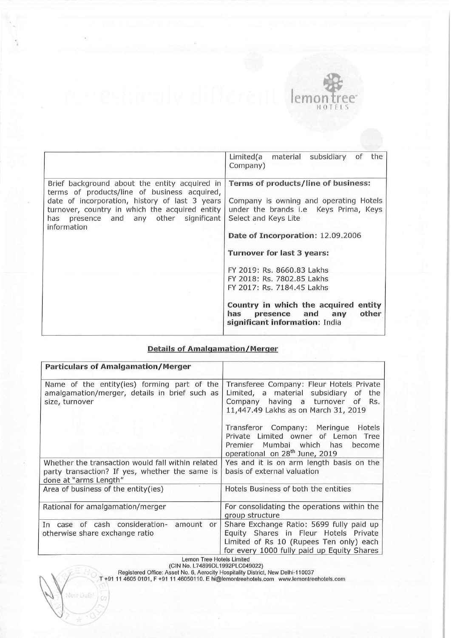

|                                                                                                                                                                                                                                                               | Limited(a material subsidiary<br>of<br>the<br>Company)                                                                                                                                                                                                                                                                                                                                                                                 |
|---------------------------------------------------------------------------------------------------------------------------------------------------------------------------------------------------------------------------------------------------------------|----------------------------------------------------------------------------------------------------------------------------------------------------------------------------------------------------------------------------------------------------------------------------------------------------------------------------------------------------------------------------------------------------------------------------------------|
| Brief background about the entity acquired in<br>terms of products/line of business acquired,<br>date of incorporation, history of last 3 years<br>turnover, country in which the acquired entity<br>presence and any other significant<br>has<br>information | Terms of products/line of business:<br>Company is owning and operating Hotels<br>under the brands i.e Keys Prima, Keys<br>Select and Keys Lite<br>Date of Incorporation: 12.09.2006<br><b>Turnover for last 3 years:</b><br>FY 2019: Rs. 8660.83 Lakhs<br>FY 2018: Rs. 7802.85 Lakhs<br>FY 2017: Rs. 7184.45 Lakhs<br>Country in which the acquired<br>entity<br>other<br>presence and<br>has<br>any<br>significant information: India |

## Details of Amalgamation/Merger

| <b>Particulars of Amalgamation/Merger</b>                                                                                    |                                                                                                                                                                            |
|------------------------------------------------------------------------------------------------------------------------------|----------------------------------------------------------------------------------------------------------------------------------------------------------------------------|
| Name of the entity(ies) forming part of the<br>amalgamation/merger, details in brief such as<br>size, turnover               | Transferee Company: Fleur Hotels Private<br>Limited, a material subsidiary of the<br>Company having a turnover<br>of<br>Rs.<br>11,447.49 Lakhs as on March 31, 2019        |
|                                                                                                                              | Transferor Company: Meringue Hotels<br>Private Limited owner of Lemon Tree<br>Premier Mumbai which has<br>become<br>operational on 28 <sup>th</sup> June, 2019             |
| Whether the transaction would fall within related<br>party transaction? If yes, whether the same is<br>done at "arms Length" | Yes and it is on arm length basis on the<br>basis of external valuation                                                                                                    |
| Area of business of the entity(ies)                                                                                          | Hotels Business of both the entities                                                                                                                                       |
| Rational for amalgamation/merger                                                                                             | For consolidating the operations within the<br>group structure                                                                                                             |
| In case of cash consideration- amount<br>or<br>otherwise share exchange ratio                                                | Share Exchange Ratio: 5699 fully paid up<br>Equity Shares in Fleur Hotels Private<br>Limited of Rs 10 (Rupees Ten only) each<br>for every 1000 fully paid up Equity Shares |
| Lemon Tree Hotels Limited                                                                                                    |                                                                                                                                                                            |

(CIN No. L74899DL1992PLC049022)

 $\overline{\phantom{0}}$ 

New Daily

 $\omega$ 

Registered Office: Asset No. 6, Aerocity Hospitalily District, New Delhi»110037

T +91 <sup>11</sup> 4605 0101, <sup>F</sup> +91 <sup>11</sup> 46050110. <sup>E</sup> hi@lemontreehotels.com www.lemontreehotels.com